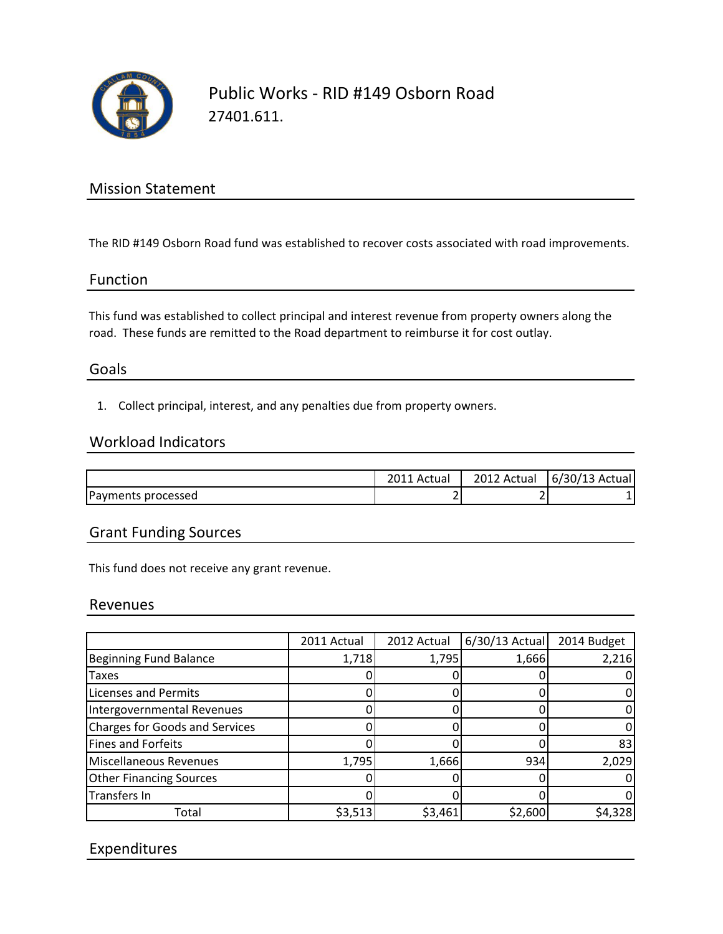

# Public Works - RID #149 Osborn Road 27401.611.

# Mission Statement

The RID #149 Osborn Road fund was established to recover costs associated with road improvements.

#### Function

This fund was established to collect principal and interest revenue from property owners along the road. These funds are remitted to the Road department to reimburse it for cost outlay.

#### Goals

1. Collect principal, interest, and any penalties due from property owners.

### Workload Indicators

|                    | Actual        | 2012 Actual | $6/30/13$ Actual |
|--------------------|---------------|-------------|------------------|
| Payments processed | -<br><u>.</u> |             |                  |

### Grant Funding Sources

This fund does not receive any grant revenue.

#### Revenues

|                                       | 2011 Actual | 2012 Actual | $6/30/13$ Actual | 2014 Budget |
|---------------------------------------|-------------|-------------|------------------|-------------|
| <b>Beginning Fund Balance</b>         | 1,718       | 1,795       | 1,666            | 2,216       |
| Taxes                                 |             |             |                  |             |
| <b>Licenses and Permits</b>           |             |             |                  |             |
| Intergovernmental Revenues            |             |             |                  |             |
| <b>Charges for Goods and Services</b> |             |             |                  |             |
| Fines and Forfeits                    |             |             |                  | 83          |
| Miscellaneous Revenues                | 1,795       | 1,666       | 934              | 2,029       |
| <b>Other Financing Sources</b>        |             |             |                  |             |
| Transfers In                          |             |             |                  |             |
| Total                                 | \$3,513     | \$3,461     | \$2,600          | \$4,328     |

## Expenditures